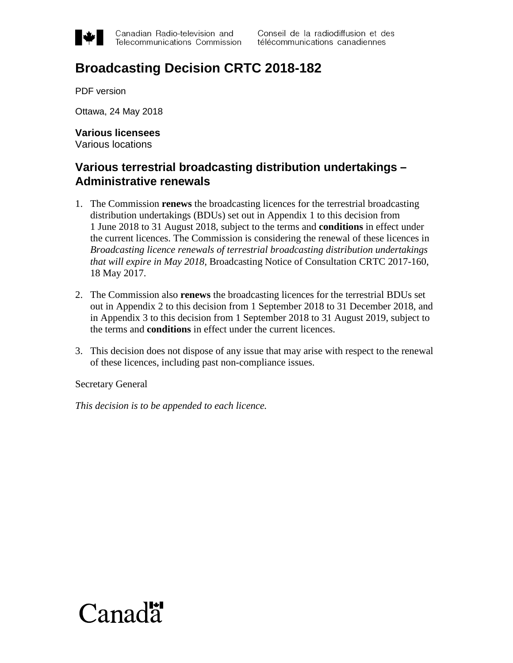

Canadian Radio-television and Telecommunications Commission

# **Broadcasting Decision CRTC 2018-182**

PDF version

Ottawa, 24 May 2018

**Various licensees** Various locations

### **Various terrestrial broadcasting distribution undertakings – Administrative renewals**

- 1. The Commission **renews** the broadcasting licences for the terrestrial broadcasting distribution undertakings (BDUs) set out in Appendix 1 to this decision from 1 June 2018 to 31 August 2018, subject to the terms and **conditions** in effect under the current licences. The Commission is considering the renewal of these licences in *Broadcasting licence renewals of terrestrial broadcasting distribution undertakings that will expire in May 2018*, Broadcasting Notice of Consultation CRTC 2017-160, 18 May 2017.
- 2. The Commission also **renews** the broadcasting licences for the terrestrial BDUs set out in Appendix 2 to this decision from 1 September 2018 to 31 December 2018, and in Appendix 3 to this decision from 1 September 2018 to 31 August 2019, subject to the terms and **conditions** in effect under the current licences.
- 3. This decision does not dispose of any issue that may arise with respect to the renewal of these licences, including past non-compliance issues.

Secretary General

*This decision is to be appended to each licence.* 

# Canada<sup>r</sup>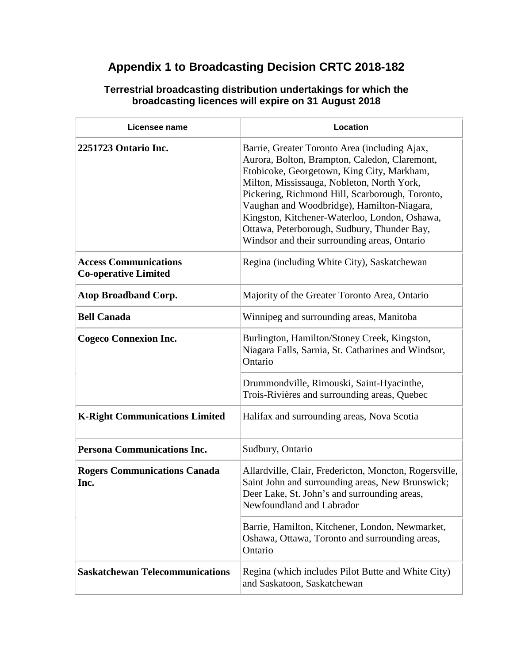## **Appendix 1 to Broadcasting Decision CRTC 2018-182**

| Licensee name                                               | Location                                                                                                                                                                                                                                                                                                                                                                                                                                    |
|-------------------------------------------------------------|---------------------------------------------------------------------------------------------------------------------------------------------------------------------------------------------------------------------------------------------------------------------------------------------------------------------------------------------------------------------------------------------------------------------------------------------|
| 2251723 Ontario Inc.                                        | Barrie, Greater Toronto Area (including Ajax,<br>Aurora, Bolton, Brampton, Caledon, Claremont,<br>Etobicoke, Georgetown, King City, Markham,<br>Milton, Mississauga, Nobleton, North York,<br>Pickering, Richmond Hill, Scarborough, Toronto,<br>Vaughan and Woodbridge), Hamilton-Niagara,<br>Kingston, Kitchener-Waterloo, London, Oshawa,<br>Ottawa, Peterborough, Sudbury, Thunder Bay,<br>Windsor and their surrounding areas, Ontario |
| <b>Access Communications</b><br><b>Co-operative Limited</b> | Regina (including White City), Saskatchewan                                                                                                                                                                                                                                                                                                                                                                                                 |
| <b>Atop Broadband Corp.</b>                                 | Majority of the Greater Toronto Area, Ontario                                                                                                                                                                                                                                                                                                                                                                                               |
| <b>Bell Canada</b>                                          | Winnipeg and surrounding areas, Manitoba                                                                                                                                                                                                                                                                                                                                                                                                    |
| <b>Cogeco Connexion Inc.</b>                                | Burlington, Hamilton/Stoney Creek, Kingston,<br>Niagara Falls, Sarnia, St. Catharines and Windsor,<br>Ontario                                                                                                                                                                                                                                                                                                                               |
|                                                             | Drummondville, Rimouski, Saint-Hyacinthe,<br>Trois-Rivières and surrounding areas, Quebec                                                                                                                                                                                                                                                                                                                                                   |
| <b>K-Right Communications Limited</b>                       | Halifax and surrounding areas, Nova Scotia                                                                                                                                                                                                                                                                                                                                                                                                  |
| <b>Persona Communications Inc.</b>                          | Sudbury, Ontario                                                                                                                                                                                                                                                                                                                                                                                                                            |
| <b>Rogers Communications Canada</b><br>Inc.                 | Allardville, Clair, Fredericton, Moncton, Rogersville,<br>Saint John and surrounding areas, New Brunswick;<br>Deer Lake, St. John's and surrounding areas,<br>Newfoundland and Labrador                                                                                                                                                                                                                                                     |
|                                                             | Barrie, Hamilton, Kitchener, London, Newmarket,<br>Oshawa, Ottawa, Toronto and surrounding areas,<br>Ontario                                                                                                                                                                                                                                                                                                                                |
| <b>Saskatchewan Telecommunications</b>                      | Regina (which includes Pilot Butte and White City)<br>and Saskatoon, Saskatchewan                                                                                                                                                                                                                                                                                                                                                           |

#### **Terrestrial broadcasting distribution undertakings for which the broadcasting licences will expire on 31 August 2018**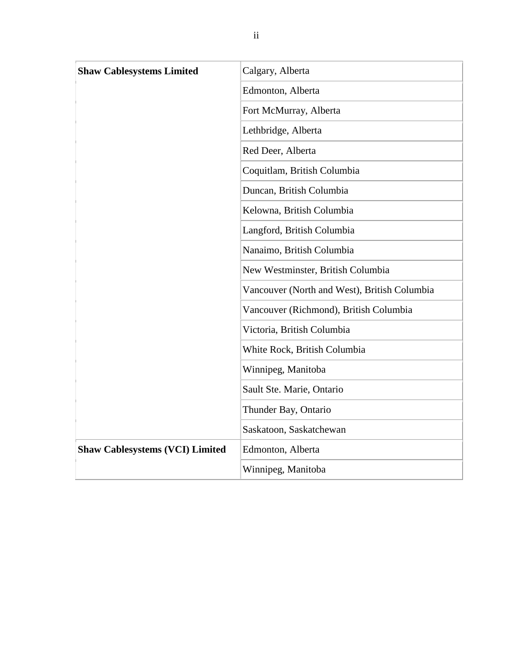| <b>Shaw Cablesystems Limited</b>       | Calgary, Alberta                             |
|----------------------------------------|----------------------------------------------|
|                                        | Edmonton, Alberta                            |
|                                        | Fort McMurray, Alberta                       |
|                                        | Lethbridge, Alberta                          |
|                                        | Red Deer, Alberta                            |
|                                        | Coquitlam, British Columbia                  |
|                                        | Duncan, British Columbia                     |
|                                        | Kelowna, British Columbia                    |
|                                        | Langford, British Columbia                   |
|                                        | Nanaimo, British Columbia                    |
|                                        | New Westminster, British Columbia            |
|                                        | Vancouver (North and West), British Columbia |
|                                        | Vancouver (Richmond), British Columbia       |
|                                        | Victoria, British Columbia                   |
|                                        | White Rock, British Columbia                 |
|                                        | Winnipeg, Manitoba                           |
|                                        | Sault Ste. Marie, Ontario                    |
|                                        | Thunder Bay, Ontario                         |
|                                        | Saskatoon, Saskatchewan                      |
| <b>Shaw Cablesystems (VCI) Limited</b> | Edmonton, Alberta                            |
|                                        | Winnipeg, Manitoba                           |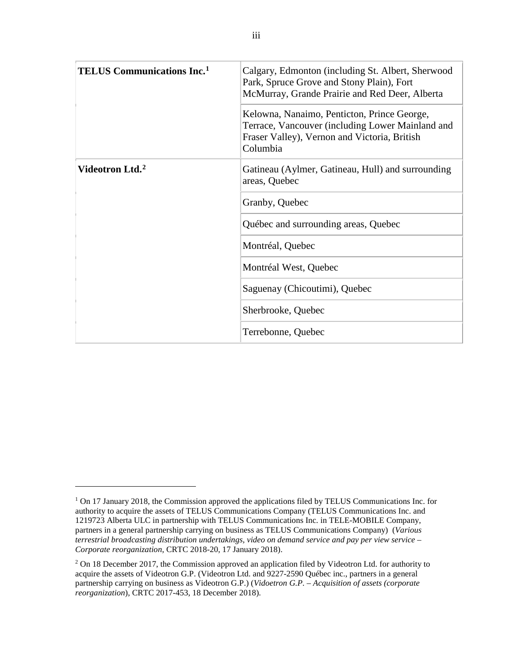| <b>TELUS Communications Inc.</b> <sup>1</sup> | Calgary, Edmonton (including St. Albert, Sherwood<br>Park, Spruce Grove and Stony Plain), Fort<br>McMurray, Grande Prairie and Red Deer, Alberta            |
|-----------------------------------------------|-------------------------------------------------------------------------------------------------------------------------------------------------------------|
|                                               | Kelowna, Nanaimo, Penticton, Prince George,<br>Terrace, Vancouver (including Lower Mainland and<br>Fraser Valley), Vernon and Victoria, British<br>Columbia |
| Videotron Ltd. <sup>2</sup>                   | Gatineau (Aylmer, Gatineau, Hull) and surrounding<br>areas, Quebec                                                                                          |
|                                               | Granby, Quebec                                                                                                                                              |
|                                               | Québec and surrounding areas, Quebec                                                                                                                        |
|                                               | Montréal, Quebec                                                                                                                                            |
|                                               | Montréal West, Quebec                                                                                                                                       |
|                                               | Saguenay (Chicoutimi), Quebec                                                                                                                               |
|                                               | Sherbrooke, Quebec                                                                                                                                          |
|                                               | Terrebonne, Quebec                                                                                                                                          |

 $\overline{a}$ 

<span id="page-3-0"></span><sup>&</sup>lt;sup>1</sup> On 17 January 2018, the Commission approved the applications filed by TELUS Communications Inc. for authority to acquire the assets of TELUS Communications Company (TELUS Communications Inc. and 1219723 Alberta ULC in partnership with TELUS Communications Inc. in TELE-MOBILE Company, partners in a general partnership carrying on business as TELUS Communications Company) (*Various terrestrial broadcasting distribution undertakings, video on demand service and pay per view service – Corporate reorganization*, CRTC 2018-20, 17 January 2018).

<span id="page-3-1"></span><sup>&</sup>lt;sup>2</sup> On 18 December 2017, the Commission approved an application filed by Videotron Ltd. for authority to acquire the assets of Videotron G.P. (Videotron Ltd. and 9227-2590 Québec inc., partners in a general partnership carrying on business as Videotron G.P.) (*Vidoetron G.P. – Acquisition of assets (corporate reorganization*), CRTC 2017-453, 18 December 2018).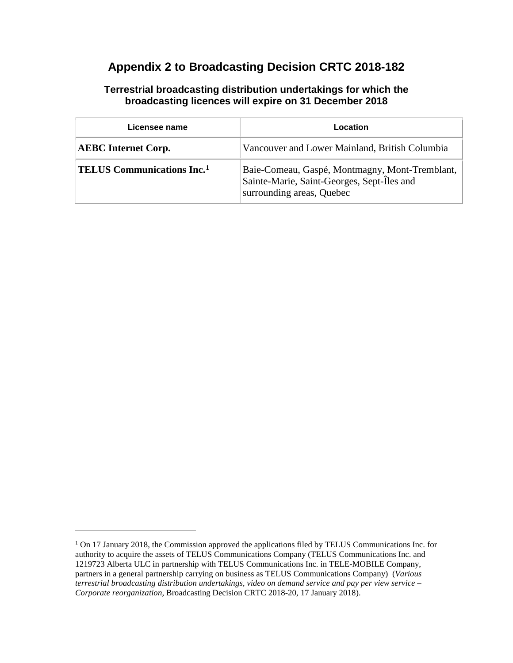## **Appendix 2 to Broadcasting Decision CRTC 2018-182**

#### **Terrestrial broadcasting distribution undertakings for which the broadcasting licences will expire on 31 December 2018**

| Licensee name                                 | Location                                                                                                                  |
|-----------------------------------------------|---------------------------------------------------------------------------------------------------------------------------|
| <b>AEBC</b> Internet Corp.                    | Vancouver and Lower Mainland, British Columbia                                                                            |
| <b>TELUS Communications Inc.</b> <sup>1</sup> | Baie-Comeau, Gaspé, Montmagny, Mont-Tremblant,<br>Sainte-Marie, Saint-Georges, Sept-Îles and<br>surrounding areas, Quebec |

 $\overline{a}$ 

<span id="page-4-0"></span><sup>&</sup>lt;sup>1</sup> On 17 January 2018, the Commission approved the applications filed by TELUS Communications Inc. for authority to acquire the assets of TELUS Communications Company (TELUS Communications Inc. and 1219723 Alberta ULC in partnership with TELUS Communications Inc. in TELE-MOBILE Company, partners in a general partnership carrying on business as TELUS Communications Company) (*Various terrestrial broadcasting distribution undertakings, video on demand service and pay per view service – Corporate reorganization*, Broadcasting Decision CRTC 2018-20, 17 January 2018).